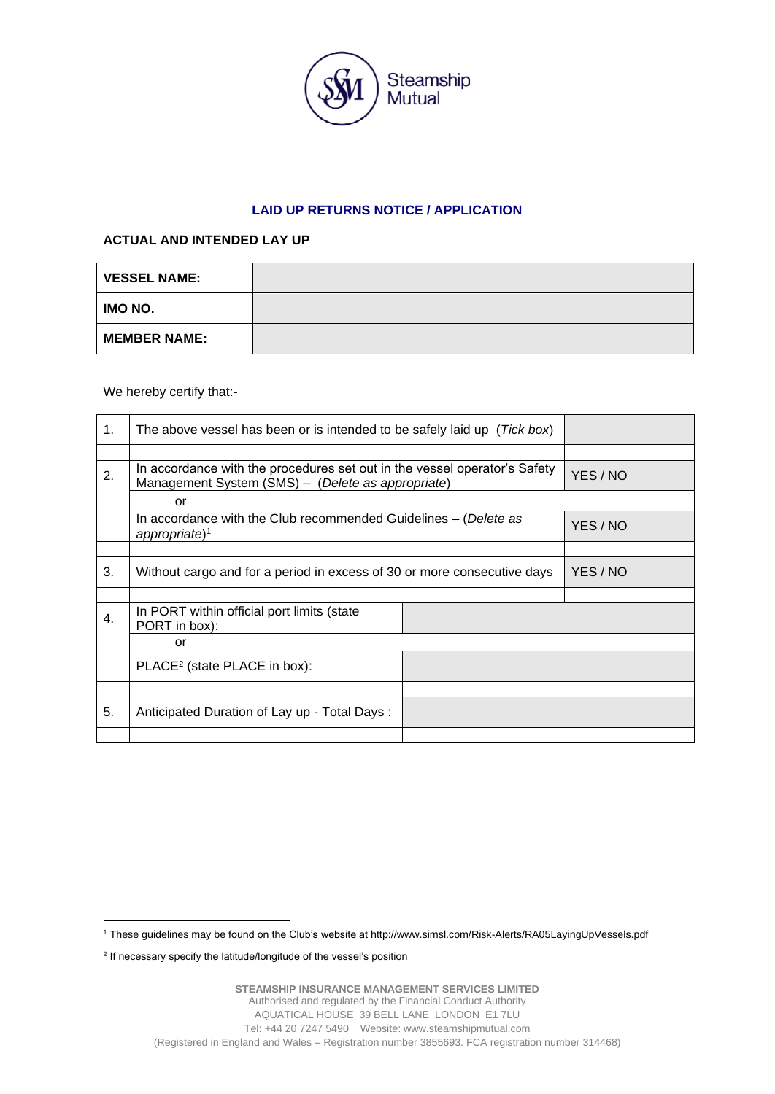

## **LAID UP RETURNS NOTICE / APPLICATION**

## **ACTUAL AND INTENDED LAY UP**

| <b>VESSEL NAME:</b> |  |
|---------------------|--|
| IMO NO.             |  |
| <b>MEMBER NAME:</b> |  |

We hereby certify that:-

| 1. | The above vessel has been or is intended to be safely laid up (Tick box)                                                       |  |          |
|----|--------------------------------------------------------------------------------------------------------------------------------|--|----------|
|    |                                                                                                                                |  |          |
| 2. | In accordance with the procedures set out in the vessel operator's Safety<br>Management System (SMS) - (Delete as appropriate) |  | YES / NO |
|    | or                                                                                                                             |  |          |
|    | In accordance with the Club recommended Guidelines – (Delete as<br>$appropriate$ <sup>1</sup>                                  |  | YES / NO |
|    |                                                                                                                                |  |          |
| 3. | Without cargo and for a period in excess of 30 or more consecutive days                                                        |  | YES / NO |
|    |                                                                                                                                |  |          |
| 4. | In PORT within official port limits (state<br>PORT in box):                                                                    |  |          |
|    | or                                                                                                                             |  |          |
|    | PLACE <sup>2</sup> (state PLACE in box):                                                                                       |  |          |
|    |                                                                                                                                |  |          |
| 5. | Anticipated Duration of Lay up - Total Days:                                                                                   |  |          |
|    |                                                                                                                                |  |          |

<sup>1</sup> These guidelines may be found on the Club's website at http://www.simsl.com/Risk-Alerts/RA05LayingUpVessels.pdf

<sup>&</sup>lt;sup>2</sup> If necessary specify the latitude/longitude of the vessel's position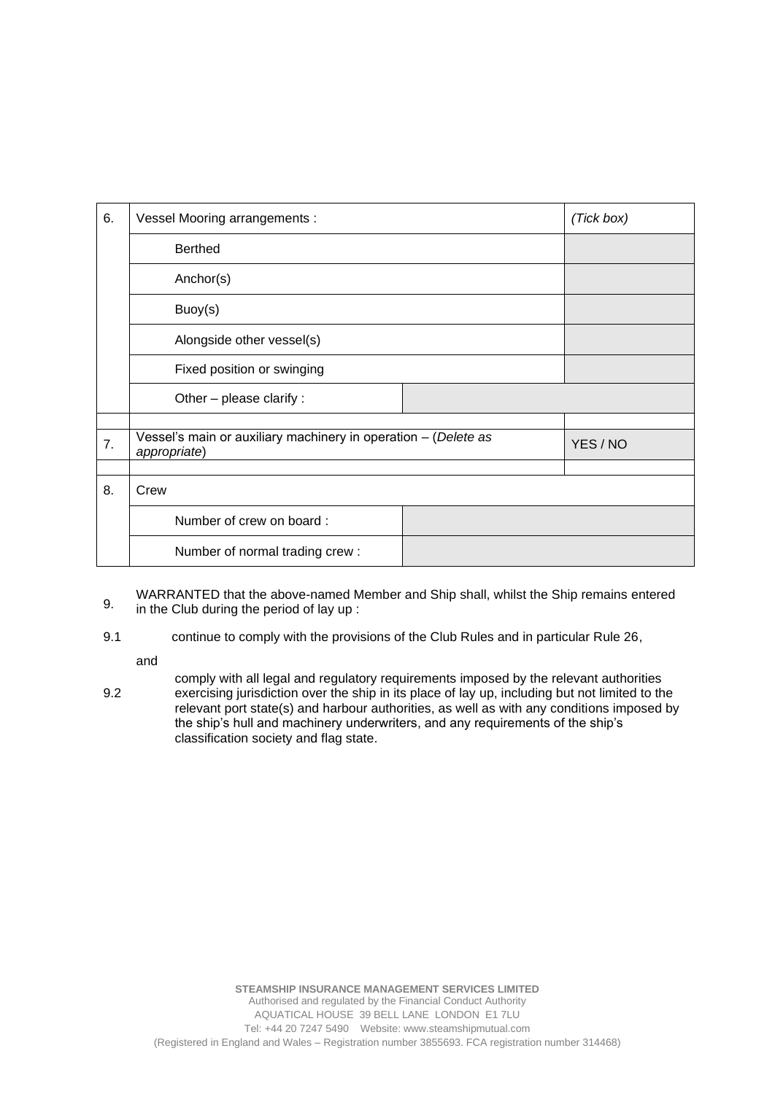| 6. | Vessel Mooring arrangements :                                  |  | (Tick box) |
|----|----------------------------------------------------------------|--|------------|
|    | <b>Berthed</b>                                                 |  |            |
|    | Anchor(s)                                                      |  |            |
|    | Buoy(s)                                                        |  |            |
|    | Alongside other vessel(s)                                      |  |            |
|    | Fixed position or swinging                                     |  |            |
|    | Other - please clarify :                                       |  |            |
| 7. | Vessel's main or auxiliary machinery in operation - (Delete as |  | YES / NO   |
|    | appropriate)                                                   |  |            |
| 8. | Crew                                                           |  |            |
|    | Number of crew on board:                                       |  |            |
|    | Number of normal trading crew:                                 |  |            |

9. WARRANTED that the above-named Member and Ship shall, whilst the Ship remains entered in the Club during the period of lay up :

9.1 continue to comply with the provisions of the Club Rules and in particular Rule 26,

and

9.2 comply with all legal and regulatory requirements imposed by the relevant authorities exercising jurisdiction over the ship in its place of lay up, including but not limited to the relevant port state(s) and harbour authorities, as well as with any conditions imposed by the ship's hull and machinery underwriters, and any requirements of the ship's classification society and flag state.